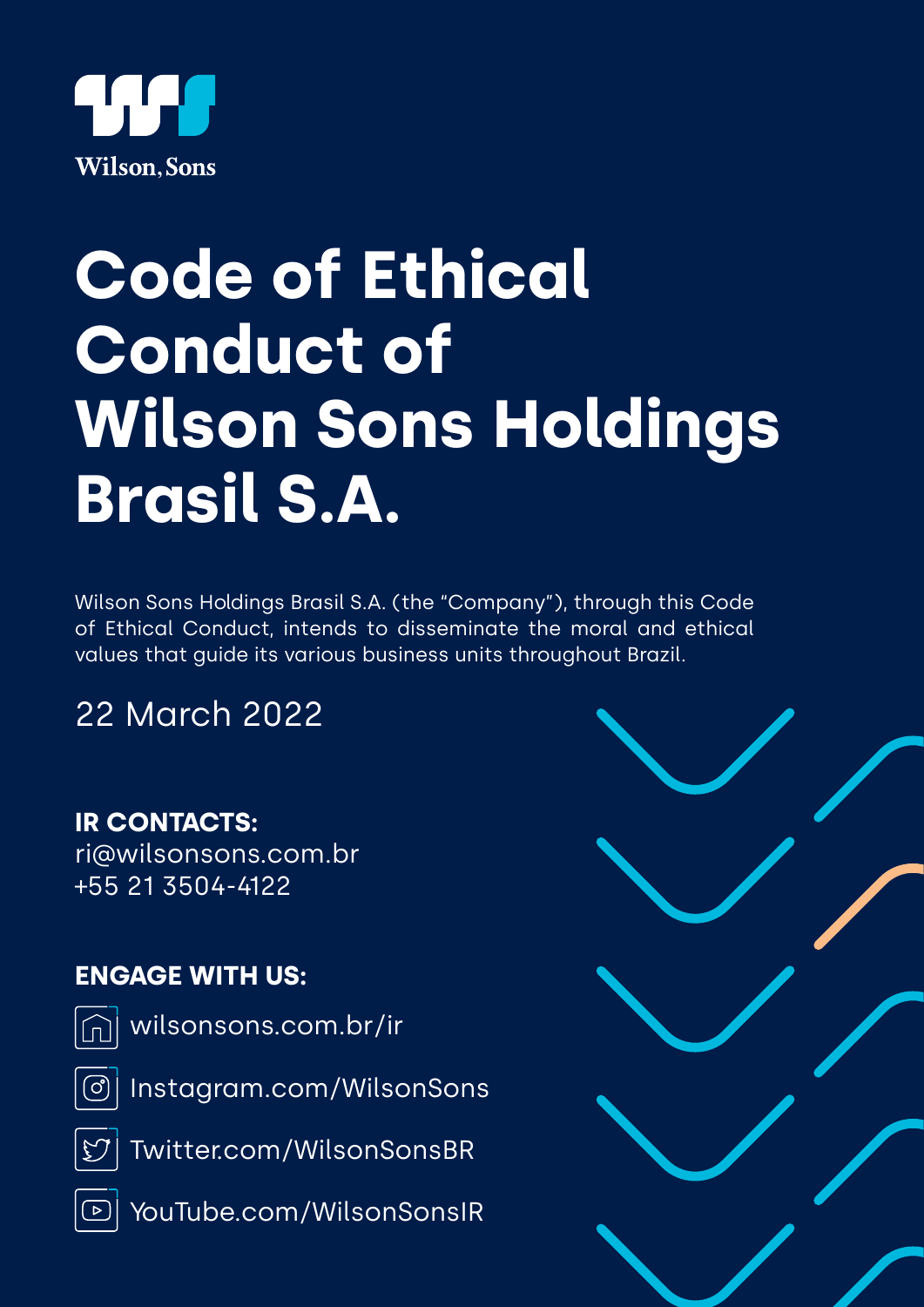

### **Code of Ethical Conduct of Wilson Sons Holdings Brasil S.A.**

Wilson Sons Holdings Brasil S.A. (the "Company"), through this Code of Ethical Conduct, intends to disseminate the moral and ethical values that guide its various business units throughout Brazil.

22 March 2022

**IR CONTACTS:** ri@wilsonsons.com.br +55 21 3504-4122

### **ENGAGE WITH US:**



wilsonsons.com.br/ir



Instagram.com/WilsonSons



Twitter.com/WilsonSonsBR

YouTube.com/WilsonSonsIR

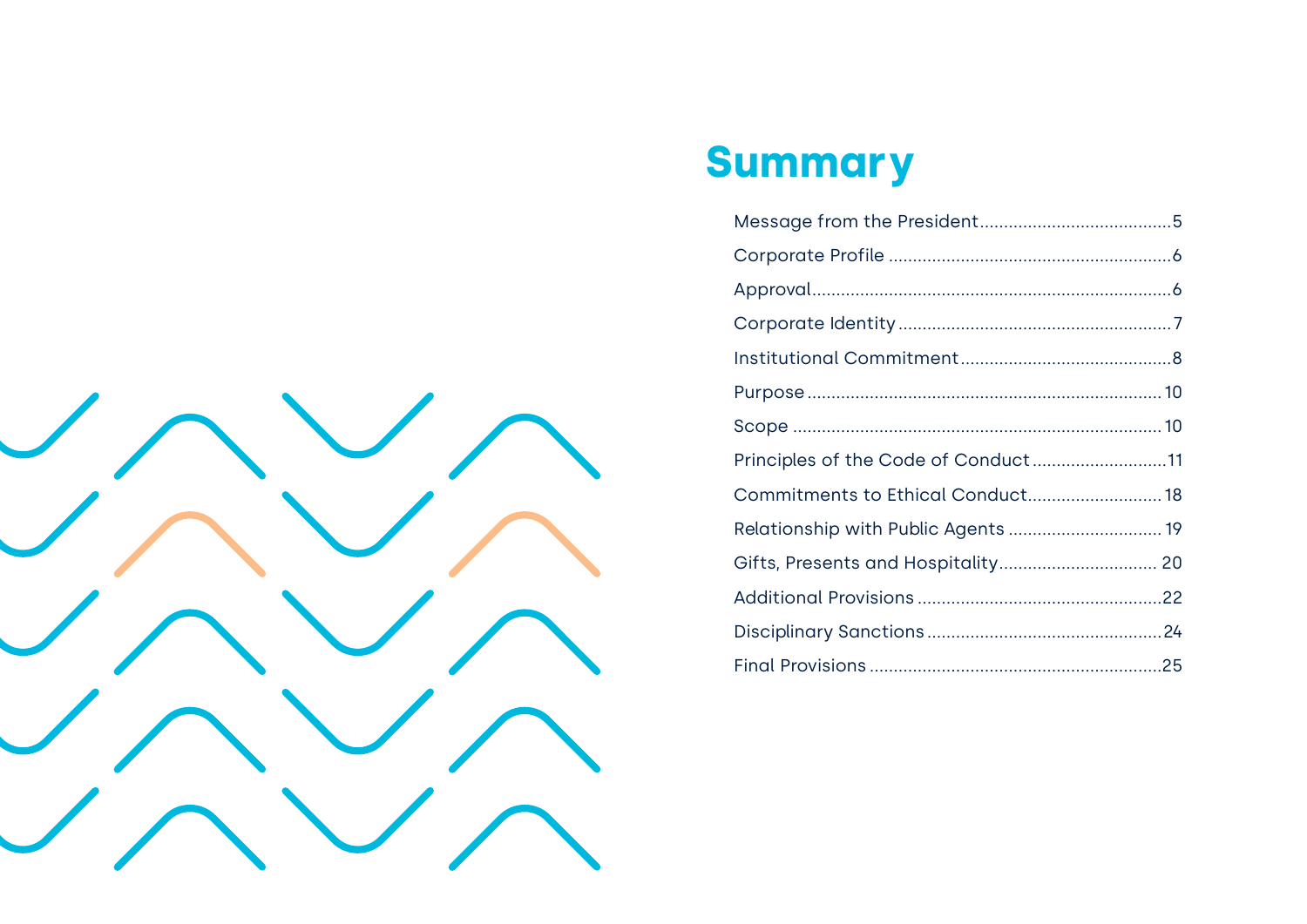

### Summary

| Principles of the Code of Conduct11 |  |
|-------------------------------------|--|
| Commitments to Ethical Conduct 18   |  |
| Relationship with Public Agents  19 |  |
| Gifts, Presents and Hospitality 20  |  |
|                                     |  |
|                                     |  |
|                                     |  |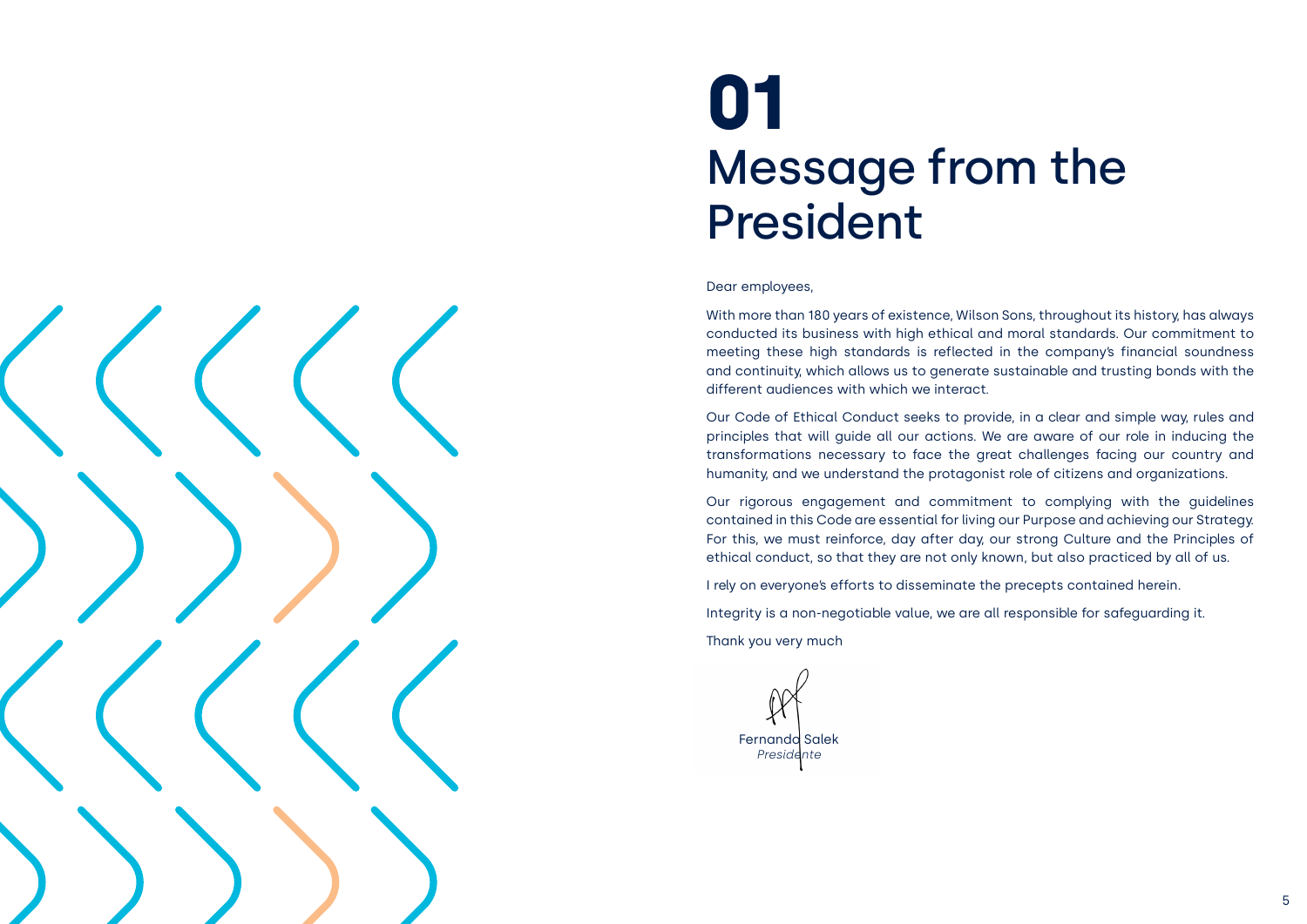### <span id="page-2-0"></span>**01** Message from the President

Fernandd Salek *Presidente* 

#### Dear employees,

With more than 180 years of existence, Wilson Sons, throughout its history, has always conducted its business with high ethical and moral standards. Our commitment to meeting these high standards is reflected in the company's financial soundness and continuity, which allows us to generate sustainable and trusting bonds with the different audiences with which we interact.

Our Code of Ethical Conduct seeks to provide, in a clear and simple way, rules and principles that will guide all our actions. We are aware of our role in inducing the transformations necessary to face the great challenges facing our country and humanity, and we understand the protagonist role of citizens and organizations.

Our rigorous engagement and commitment to complying with the guidelines contained in this Code are essential for living our Purpose and achieving our Strategy. For this, we must reinforce, day after day, our strong Culture and the Principles of ethical conduct, so that they are not only known, but also practiced by all of us.

I rely on everyone's efforts to disseminate the precepts contained herein.

Integrity is a non-negotiable value, we are all responsible for safeguarding it.

Thank you very much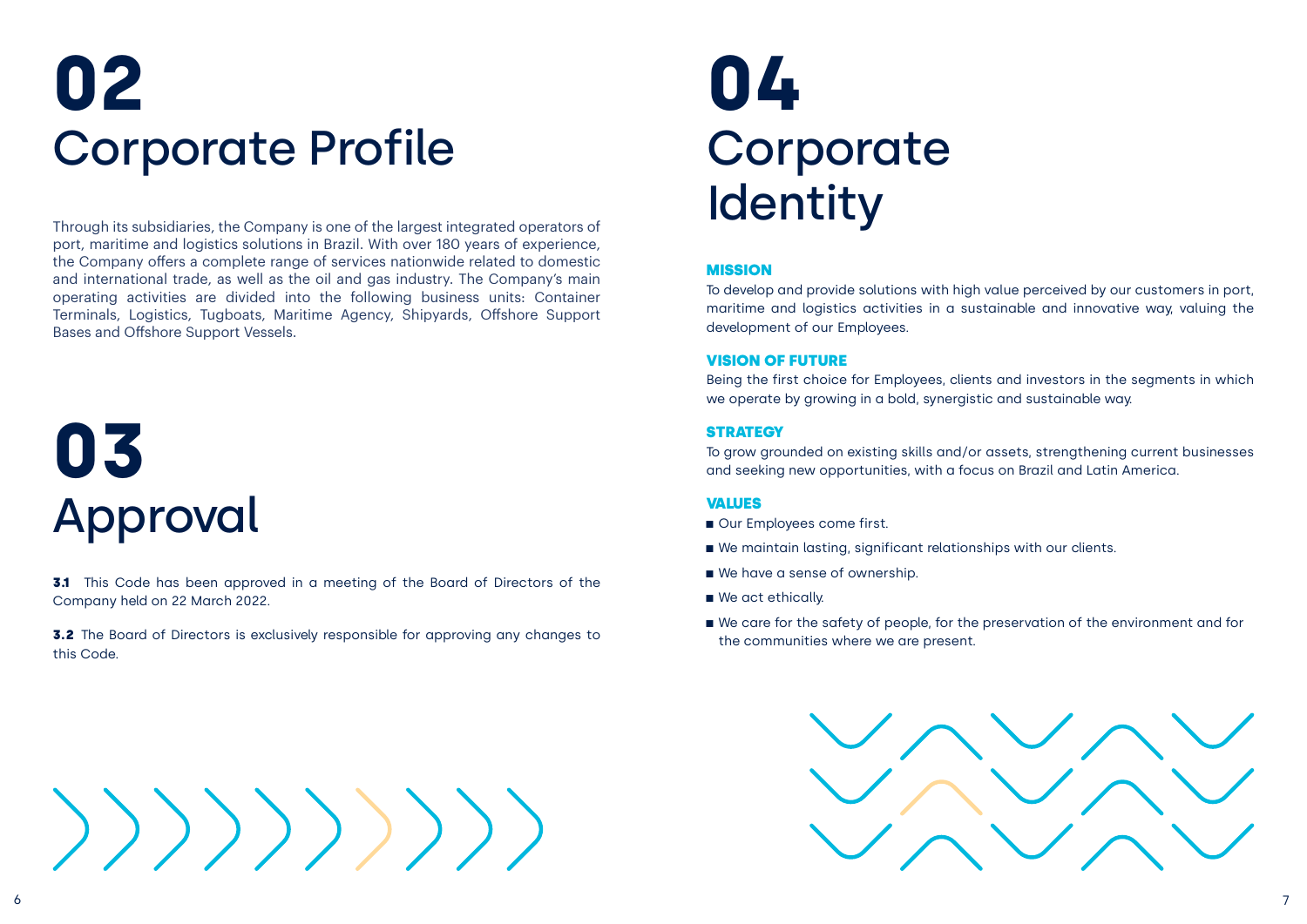Through its subsidiaries, the Company is one of the largest integrated operators of port, maritime and logistics solutions in Brazil. With over 180 years of experience, the Company offers a complete range of services nationwide related to domestic and international trade, as well as the oil and gas industry. The Company's main operating activities are divided into the following business units: Container Terminals, Logistics, Tugboats, Maritime Agency, Shipyards, Offshore Support Bases and Offshore Support Vessels.

**3.1** This Code has been approved in a meeting of the Board of Directors of the Company held on 22 March 2022.

**3.2** The Board of Directors is exclusively responsible for approving any changes to this Code.

### **04 Corporate Identity**

 $\left(\left(\left\{ \left(1,0\right),1\right.\right\} ,\left\{ \left(1,0\right),1\right.\right\} ,\left\{ \left(1,0\right),1\right.\right\} )$ 

# <span id="page-3-0"></span>**02** Corporate Profile

### **03** Approval

#### MISSION

- Our Employees come first.
- We maintain lasting, significant relationships with our clients.
- We have a sense of ownership.
- We act ethically.
- We care for the safety of people, for the preservation of the environment and for the communities where we are present.



To develop and provide solutions with high value perceived by our customers in port, maritime and logistics activities in a sustainable and innovative way, valuing the development of our Employees.

#### VISION OF FUTURE

Being the first choice for Employees, clients and investors in the segments in which we operate by growing in a bold, synergistic and sustainable way.

#### **STRATEGY**

To grow grounded on existing skills and/or assets, strengthening current businesses and seeking new opportunities, with a focus on Brazil and Latin America.

#### VALUES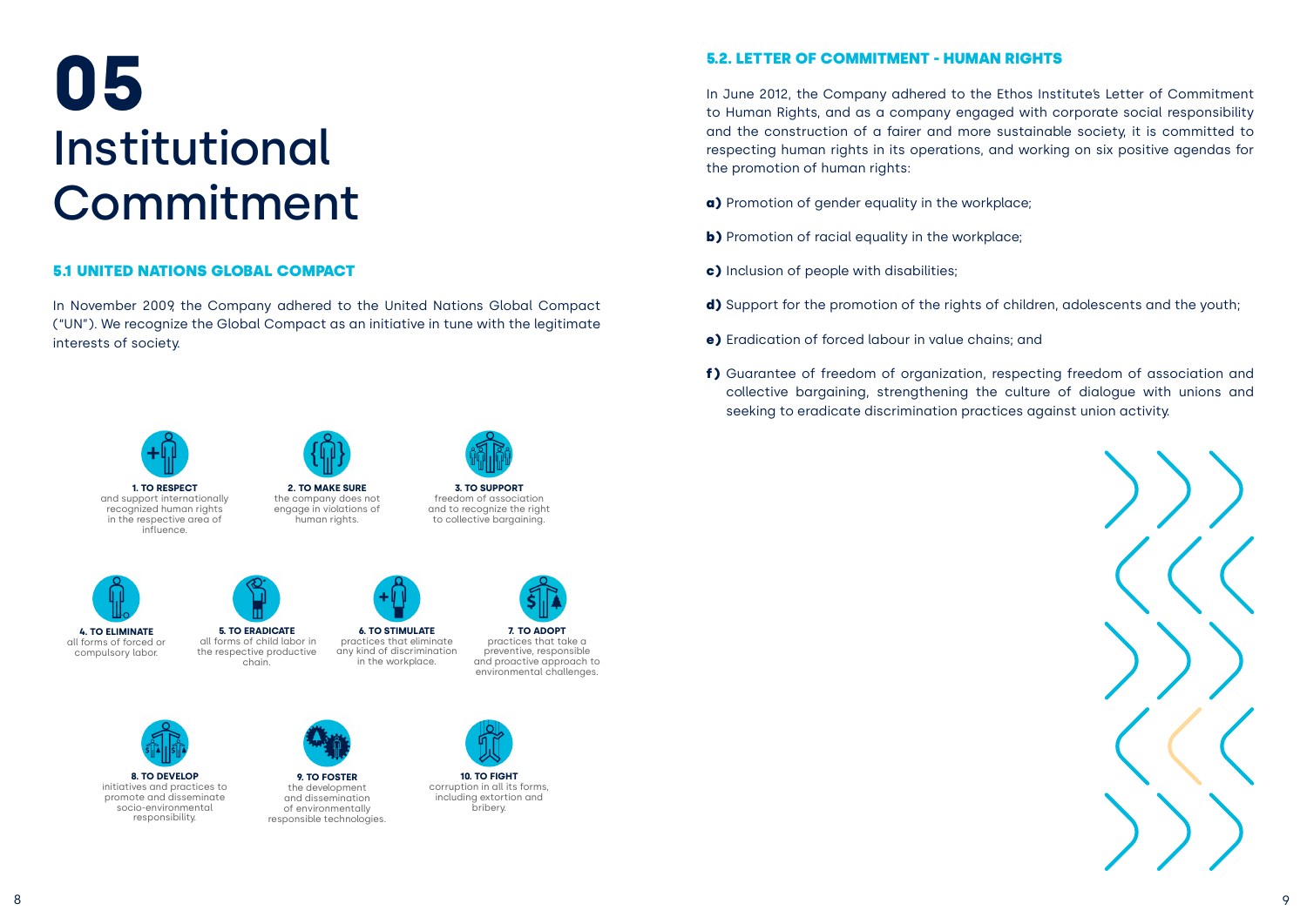

### <span id="page-4-0"></span>**05** Institutional Commitment

#### 5.1 UNITED NATIONS GLOBAL COMPACT

In November 2009, the Company adhered to the United Nations Global Compact ("UN"). We recognize the Global Compact as an initiative in tune with the legitimate interests of society.

### 5.2. LETTER OF COMMITMENT - HUMAN RIGHTS

In June 2012, the Company adhered to the Ethos Institute's Letter of Commitment to Human Rights, and as a company engaged with corporate social responsibility and the construction of a fairer and more sustainable society, it is committed to respecting human rights in its operations, and working on six positive agendas for the promotion of human rights:

- a) Promotion of gender equality in the workplace;
- **b)** Promotion of racial equality in the workplace;
- c) Inclusion of people with disabilities;
- d) Support for the promotion of the rights of children, adolescents and the youth;
- e) Eradication of forced labour in value chains; and
- f) Guarantee of freedom of organization, respecting freedom of association and seeking to eradicate discrimination practices against union activity.

collective bargaining, strengthening the culture of dialogue with unions and



**1. TO RESPECT**  and support internationally recognized human rights in the respective area of influence.



**3. TO SUPPORT**  freedom of association and to recognize the right to collective bargaining.

**2. TO MAKE SURE**  the company does not



**6. TO STIMULATE** practices that eliminate any kind of discrimination in the workplace.

**4. TO ELIMINATE**  all forms of forced or compulsory labor.

**5. TO ERADICATE** all forms of child labor in the respective productive chain.



**7. TO ADOPT** practices that take a preventive, responsible and proactive approach to environmental challenges.



**8. TO DEVELOP** initiatives and practices to promote and disseminate socio-environmental responsibility.



**9. TO FOSTER** the development and dissemination of environmentally responsible technologies.



**10. TO FIGHT** corruption in all its forms, including extortion and bribery.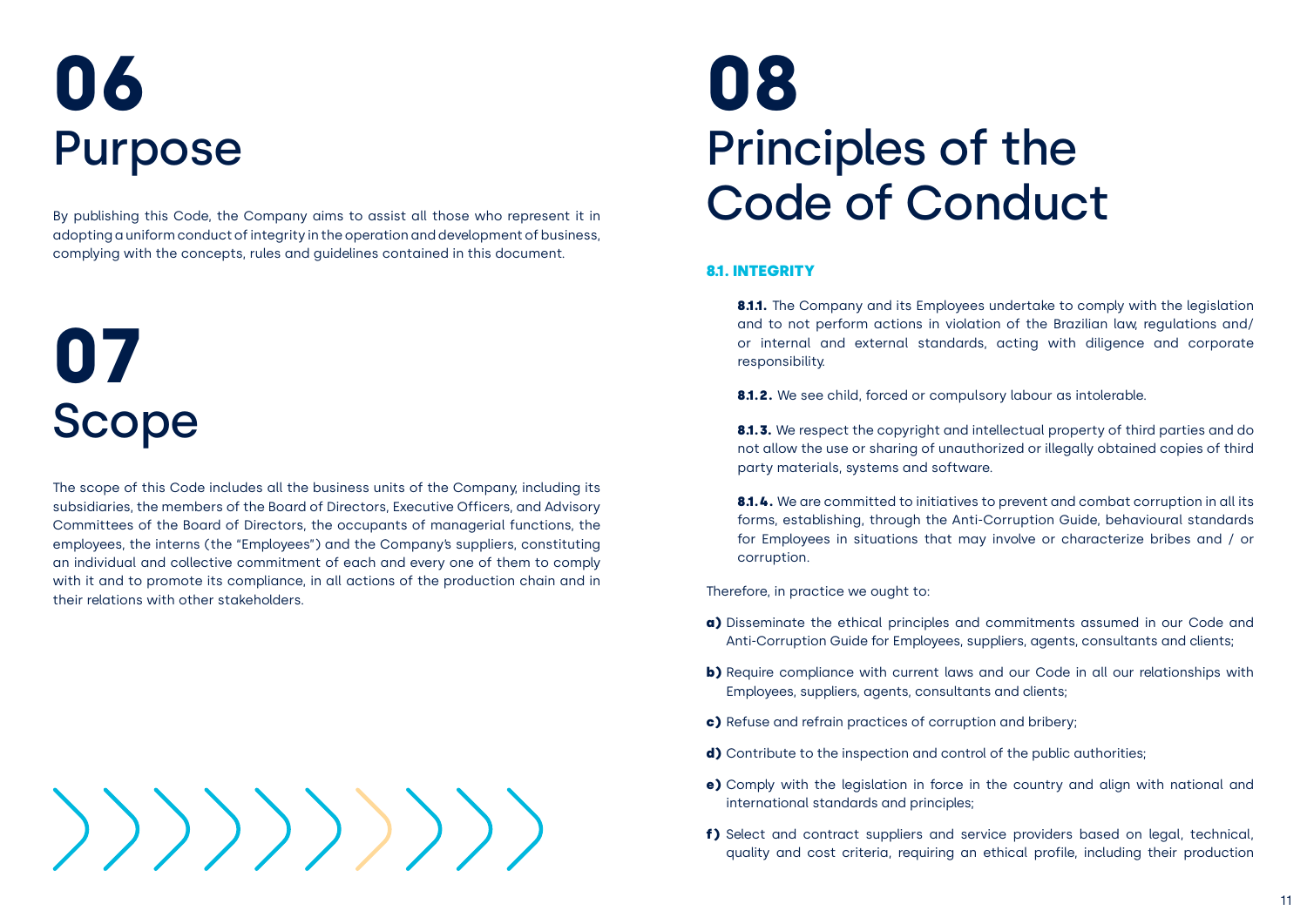# **07** Scope

### **08** Principles of the Code of Conduct

The scope of this Code includes all the business units of the Company, including its subsidiaries, the members of the Board of Directors, Executive Officers, and Advisory Committees of the Board of Directors, the occupants of managerial functions, the employees, the interns (the "Employees") and the Company's suppliers, constituting an individual and collective commitment of each and every one of them to comply with it and to promote its compliance, in all actions of the production chain and in their relations with other stakeholders.

 $\left(\left(\left\{ \left(1,0\right),1\right),1\right\} \right)$ 

8.1.1. The Company and its Employees undertake to comply with the legislation and to not perform actions in violation of the Brazilian law, regulations and/ or internal and external standards, acting with diligence and corporate responsibility.

8.1.2. We see child, forced or compulsory labour as intolerable.

8.1.3. We respect the copyright and intellectual property of third parties and do not allow the use or sharing of unauthorized or illegally obtained copies of third party materials, systems and software.

#### 8.1. INTEGRITY

8.1.4. We are committed to initiatives to prevent and combat corruption in all its forms, establishing, through the Anti-Corruption Guide, behavioural standards for Employees in situations that may involve or characterize bribes and / or corruption.

Therefore, in practice we ought to:

- a) Disseminate the ethical principles and commitments assumed in our Code and Anti-Corruption Guide for Employees, suppliers, agents, consultants and clients;
- b) Require compliance with current laws and our Code in all our relationships with Employees, suppliers, agents, consultants and clients;
- c) Refuse and refrain practices of corruption and bribery;
- d) Contribute to the inspection and control of the public authorities;
- e) Comply with the legislation in force in the country and align with national and international standards and principles;
- f) Select and contract suppliers and service providers based on legal, technical,

quality and cost criteria, requiring an ethical profile, including their production

# <span id="page-5-0"></span>**06** Purpose

By publishing this Code, the Company aims to assist all those who represent it in adopting a uniform conduct of integrity in the operation and development of business, complying with the concepts, rules and guidelines contained in this document.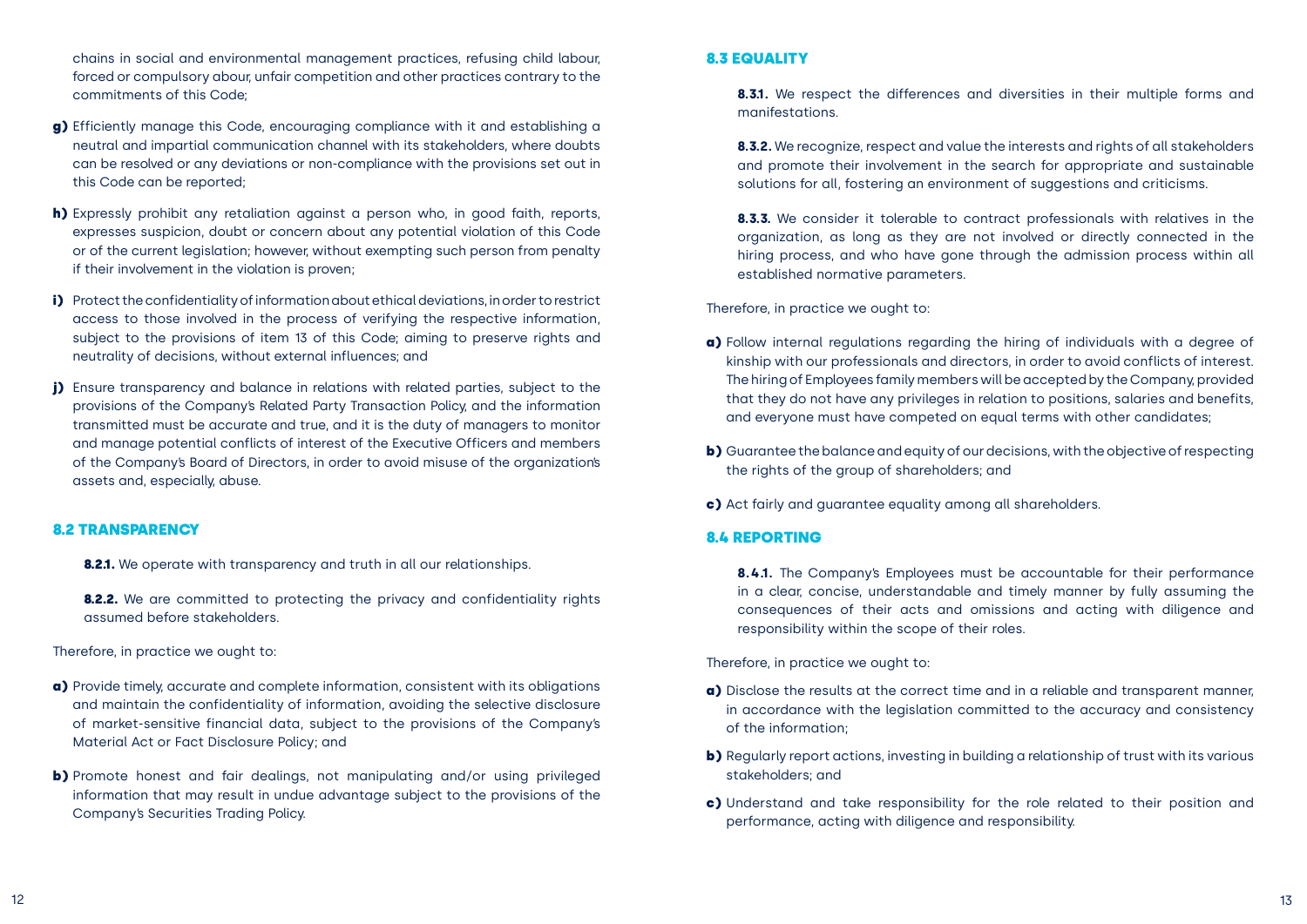chains in social and environmental management practices, refusing child labour, forced or compulsory abour, unfair competition and other practices contrary to the commitments of this Code;

- g) Efficiently manage this Code, encouraging compliance with it and establishing a neutral and impartial communication channel with its stakeholders, where doubts can be resolved or any deviations or non-compliance with the provisions set out in this Code can be reported;
- h) Expressly prohibit any retaliation against a person who, in good faith, reports, expresses suspicion, doubt or concern about any potential violation of this Code or of the current legislation; however, without exempting such person from penalty if their involvement in the violation is proven;
- i) Protect the confidentiality of information about ethical deviations, in order to restrict access to those involved in the process of verifying the respective information, subject to the provisions of item 13 of this Code; aiming to preserve rights and neutrality of decisions, without external influences; and
- j) Ensure transparency and balance in relations with related parties, subject to the provisions of the Company's Related Party Transaction Policy, and the information transmitted must be accurate and true, and it is the duty of managers to monitor and manage potential conflicts of interest of the Executive Officers and members of the Company's Board of Directors, in order to avoid misuse of the organization's assets and, especially, abuse.

**8.2.2.** We are committed to protecting the privacy and confidentiality rights assumed before stakeholders.

#### 8.2 TRANSPARENCY

8.2.1. We operate with transparency and truth in all our relationships.

Therefore, in practice we ought to:

- a) Provide timely, accurate and complete information, consistent with its obligations and maintain the confidentiality of information, avoiding the selective disclosure of market-sensitive financial data, subject to the provisions of the Company's Material Act or Fact Disclosure Policy; and
- b) Promote honest and fair dealings, not manipulating and/or using privileged information that may result in undue advantage subject to the provisions of the Company's Securities Trading Policy.

#### 8.3 EQUALITY

**8.3.1.** We respect the differences and diversities in their multiple forms and manifestations.

**8.3.2.** We recognize, respect and value the interests and rights of all stakeholders and promote their involvement in the search for appropriate and sustainable solutions for all, fostering an environment of suggestions and criticisms.

**8.3.3.** We consider it tolerable to contract professionals with relatives in the organization, as long as they are not involved or directly connected in the hiring process, and who have gone through the admission process within all established normative parameters.

Therefore, in practice we ought to:

a) Follow internal regulations regarding the hiring of individuals with a degree of kinship with our professionals and directors, in order to avoid conflicts of interest. The hiring of Employees family members will be accepted by the Company, provided that they do not have any privileges in relation to positions, salaries and benefits,

b) Guarantee the balance and equity of our decisions, with the objective of respecting

- and everyone must have competed on equal terms with other candidates;
- the rights of the group of shareholders; and

c) Act fairly and guarantee equality among all shareholders.

#### 8.4 REPORTING

**8.4.1.** The Company's Employees must be accountable for their performance in a clear, concise, understandable and timely manner by fully assuming the consequences of their acts and omissions and acting with diligence and responsibility within the scope of their roles.

Therefore, in practice we ought to:

in accordance with the legislation committed to the accuracy and consistency

- a) Disclose the results at the correct time and in a reliable and transparent manner, of the information;
- b) Regularly report actions, investing in building a relationship of trust with its various stakeholders; and
- c) Understand and take responsibility for the role related to their position and performance, acting with diligence and responsibility.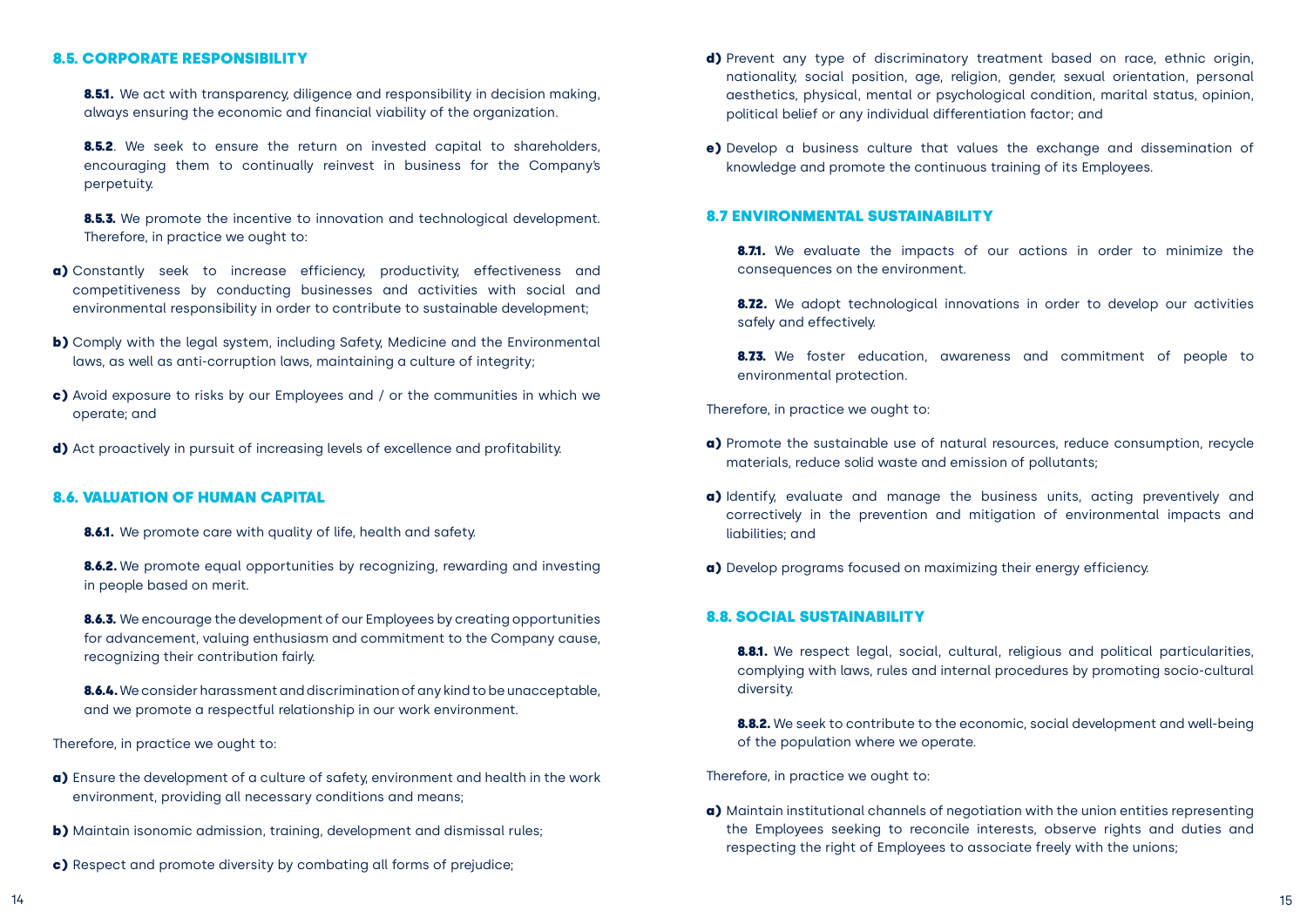#### 8.5. CORPORATE RESPONSIBILITY

8.5.1. We act with transparency, diligence and responsibility in decision making, always ensuring the economic and financial viability of the organization.

**8.5.2**. We seek to ensure the return on invested capital to shareholders, encouraging them to continually reinvest in business for the Company's perpetuity.

**8.5.3.** We promote the incentive to innovation and technological development. Therefore, in practice we ought to:

- a) Constantly seek to increase efficiency, productivity, effectiveness and competitiveness by conducting businesses and activities with social and environmental responsibility in order to contribute to sustainable development;
- b) Comply with the legal system, including Safety, Medicine and the Environmental laws, as well as anti-corruption laws, maintaining a culture of integrity;
- c) Avoid exposure to risks by our Employees and / or the communities in which we operate; and
- d) Act proactively in pursuit of increasing levels of excellence and profitability.

8.6.2. We promote equal opportunities by recognizing, rewarding and investing in people based on merit.

8.6.3. We encourage the development of our Employees by creating opportunities for advancement, valuing enthusiasm and commitment to the Company cause, recognizing their contribution fairly.

8.6.4. We consider harassment and discrimination of any kind to be unacceptable, and we promote a respectful relationship in our work environment.

#### 8.6. VALUATION OF HUMAN CAPITAL

**8.6.1.** We promote care with quality of life, health and safety.

- d) Prevent any type of discriminatory treatment based on race, ethnic origin, political belief or any individual differentiation factor; and
- e) Develop a business culture that values the exchange and dissemination of knowledge and promote the continuous training of its Employees.

**8.7.1.** We evaluate the impacts of our actions in order to minimize the consequences on the environment.

8.72. We adopt technological innovations in order to develop our activities safely and effectively.

8.73. We foster education, awareness and commitment of people to environmental protection.

Therefore, in practice we ought to:

**8.8.1.** We respect legal, social, cultural, religious and political particularities, complying with laws, rules and internal procedures by promoting socio-cultural diversity.

8.8.2. We seek to contribute to the economic, social development and well-being of the population where we operate.

- a) Ensure the development of a culture of safety, environment and health in the work environment, providing all necessary conditions and means;
- **b)** Maintain isonomic admission, training, development and dismissal rules;
- c) Respect and promote diversity by combating all forms of prejudice;

nationality, social position, age, religion, gender, sexual orientation, personal aesthetics, physical, mental or psychological condition, marital status, opinion,

#### 8.7 ENVIRONMENTAL SUSTAINABILITY

Therefore, in practice we ought to:

- a) Promote the sustainable use of natural resources, reduce consumption, recycle materials, reduce solid waste and emission of pollutants;
- a) Identify, evaluate and manage the business units, acting preventively and liabilities; and
- a) Develop programs focused on maximizing their energy efficiency.

correctively in the prevention and mitigation of environmental impacts and

#### 8.8. SOCIAL SUSTAINABILITY

Therefore, in practice we ought to:

a) Maintain institutional channels of negotiation with the union entities representing the Employees seeking to reconcile interests, observe rights and duties and

respecting the right of Employees to associate freely with the unions;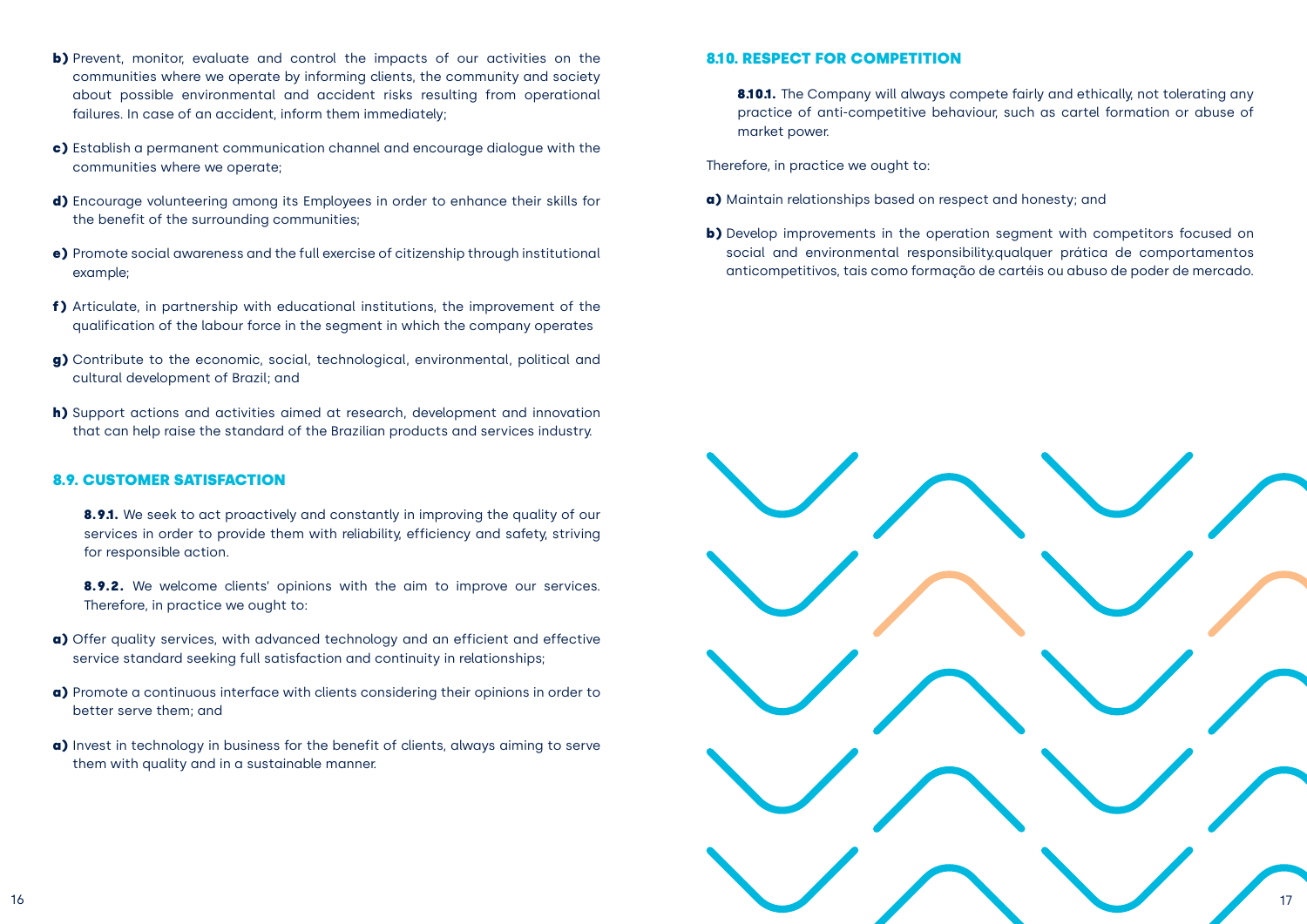

- b) Prevent, monitor, evaluate and control the impacts of our activities on the communities where we operate by informing clients, the community and society about possible environmental and accident risks resulting from operational failures. In case of an accident, inform them immediately;
- c) Establish a permanent communication channel and encourage dialogue with the communities where we operate;
- d) Encourage volunteering among its Employees in order to enhance their skills for the benefit of the surrounding communities;
- e) Promote social awareness and the full exercise of citizenship through institutional example;
- f) Articulate, in partnership with educational institutions, the improvement of the qualification of the labour force in the segment in which the company operates
- g) Contribute to the economic, social, technological, environmental, political and cultural development of Brazil; and
- h) Support actions and activities aimed at research, development and innovation that can help raise the standard of the Brazilian products and services industry.

8.9.1. We seek to act proactively and constantly in improving the quality of our services in order to provide them with reliability, efficiency and safety, striving for responsible action.

**8.9.2.** We welcome clients' opinions with the aim to improve our services. Therefore, in practice we ought to:

### 8.10.1. The Company will always compete fairly and ethically, not tolerating any practice of anti-competitive behaviour, such as cartel formation or abuse of

- a) Maintain relationships based on respect and honesty; and
- b) Develop improvements in the operation segment with competitors focused on

#### 8.9. CUSTOMER SATISFACTION

- a) Offer quality services, with advanced technology and an efficient and effective service standard seeking full satisfaction and continuity in relationships;
- a) Promote a continuous interface with clients considering their opinions in order to better serve them; and
- a) Invest in technology in business for the benefit of clients, always aiming to serve them with quality and in a sustainable manner.

#### 8.10. RESPECT FOR COMPETITION

market power.

Therefore, in practice we ought to:

social and environmental responsibility.qualquer prática de comportamentos anticompetitivos, tais como formação de cartéis ou abuso de poder de mercado.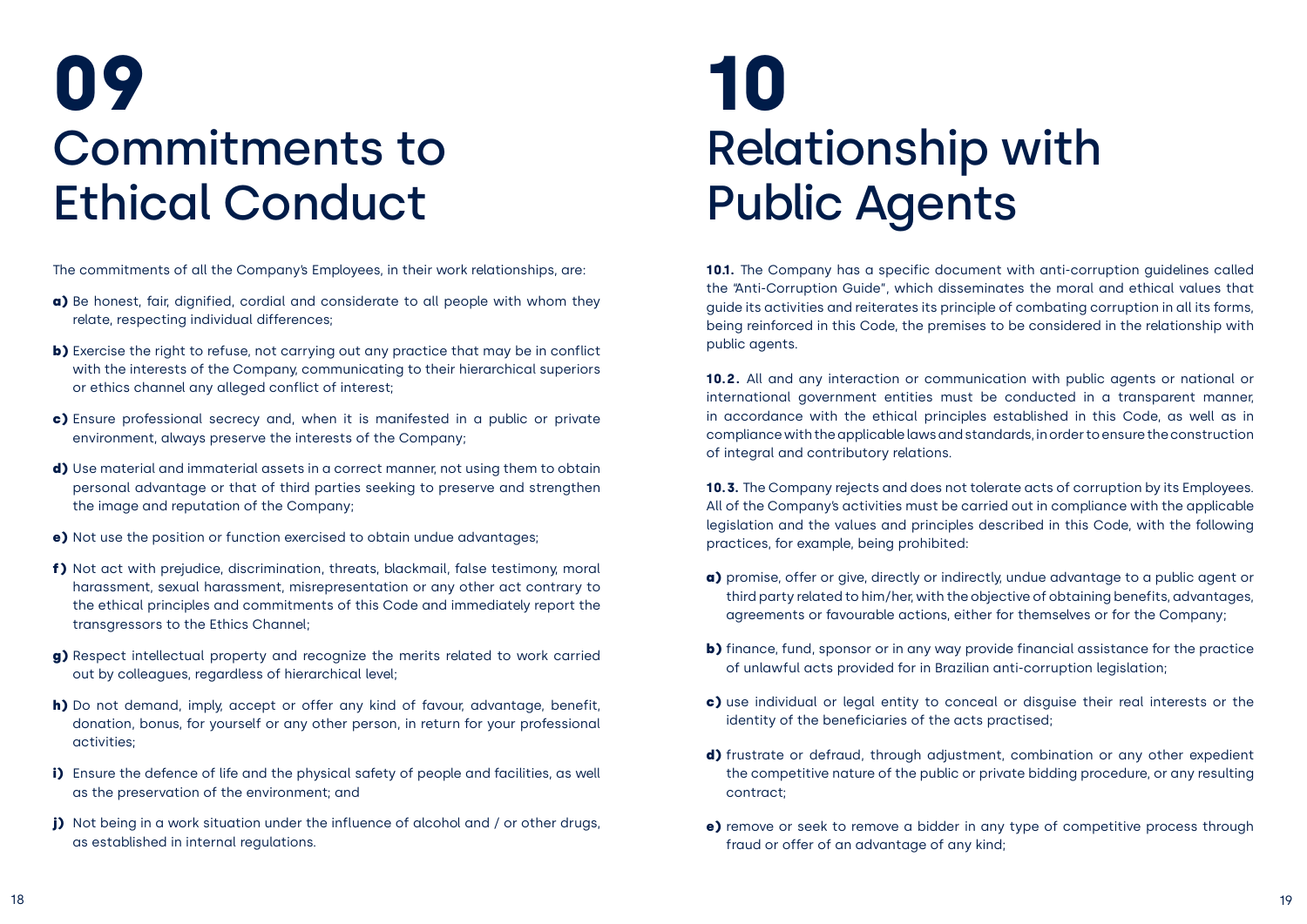### <span id="page-9-0"></span>**09** Commitments to Ethical Conduct

The commitments of all the Company's Employees, in their work relationships, are:

- a) Be honest, fair, dignified, cordial and considerate to all people with whom they relate, respecting individual differences;
- b) Exercise the right to refuse, not carrying out any practice that may be in conflict with the interests of the Company, communicating to their hierarchical superiors or ethics channel any alleged conflict of interest;
- c) Ensure professional secrecy and, when it is manifested in a public or private environment, always preserve the interests of the Company;
- d) Use material and immaterial assets in a correct manner, not using them to obtain personal advantage or that of third parties seeking to preserve and strengthen the image and reputation of the Company;
- e) Not use the position or function exercised to obtain undue advantages;
- f) Not act with prejudice, discrimination, threats, blackmail, false testimony, moral harassment, sexual harassment, misrepresentation or any other act contrary to the ethical principles and commitments of this Code and immediately report the transgressors to the Ethics Channel;
- g) Respect intellectual property and recognize the merits related to work carried out by colleagues, regardless of hierarchical level;
- h) Do not demand, imply, accept or offer any kind of favour, advantage, benefit, donation, bonus, for yourself or any other person, in return for your professional activities;
- i) Ensure the defence of life and the physical safety of people and facilities, as well as the preservation of the environment; and
- j) Not being in a work situation under the influence of alcohol and / or other drugs, as established in internal regulations.

### **10** Relationship with Public Agents

**10.1.** The Company has a specific document with anti-corruption guidelines called the "Anti-Corruption Guide", which disseminates the moral and ethical values that guide its activities and reiterates its principle of combating corruption in all its forms, being reinforced in this Code, the premises to be considered in the relationship with public agents.

**10.2.** All and any interaction or communication with public agents or national or international government entities must be conducted in a transparent manner, in accordance with the ethical principles established in this Code, as well as in compliance with the applicable laws and standards, in order to ensure the construction of integral and contributory relations.

**10.3.** The Company rejects and does not tolerate acts of corruption by its Employees. All of the Company's activities must be carried out in compliance with the applicable legislation and the values and principles described in this Code, with the following practices, for example, being prohibited:

third party related to him/her, with the objective of obtaining benefits, advantages,

- a) promise, offer or give, directly or indirectly, undue advantage to a public agent or agreements or favourable actions, either for themselves or for the Company;
- b) finance, fund, sponsor or in any way provide financial assistance for the practice of unlawful acts provided for in Brazilian anti-corruption legislation;
- c) use individual or legal entity to conceal or disguise their real interests or the identity of the beneficiaries of the acts practised;
- d) frustrate or defraud, through adjustment, combination or any other expedient contract;
- e) remove or seek to remove a bidder in any type of competitive process through fraud or offer of an advantage of any kind;

the competitive nature of the public or private bidding procedure, or any resulting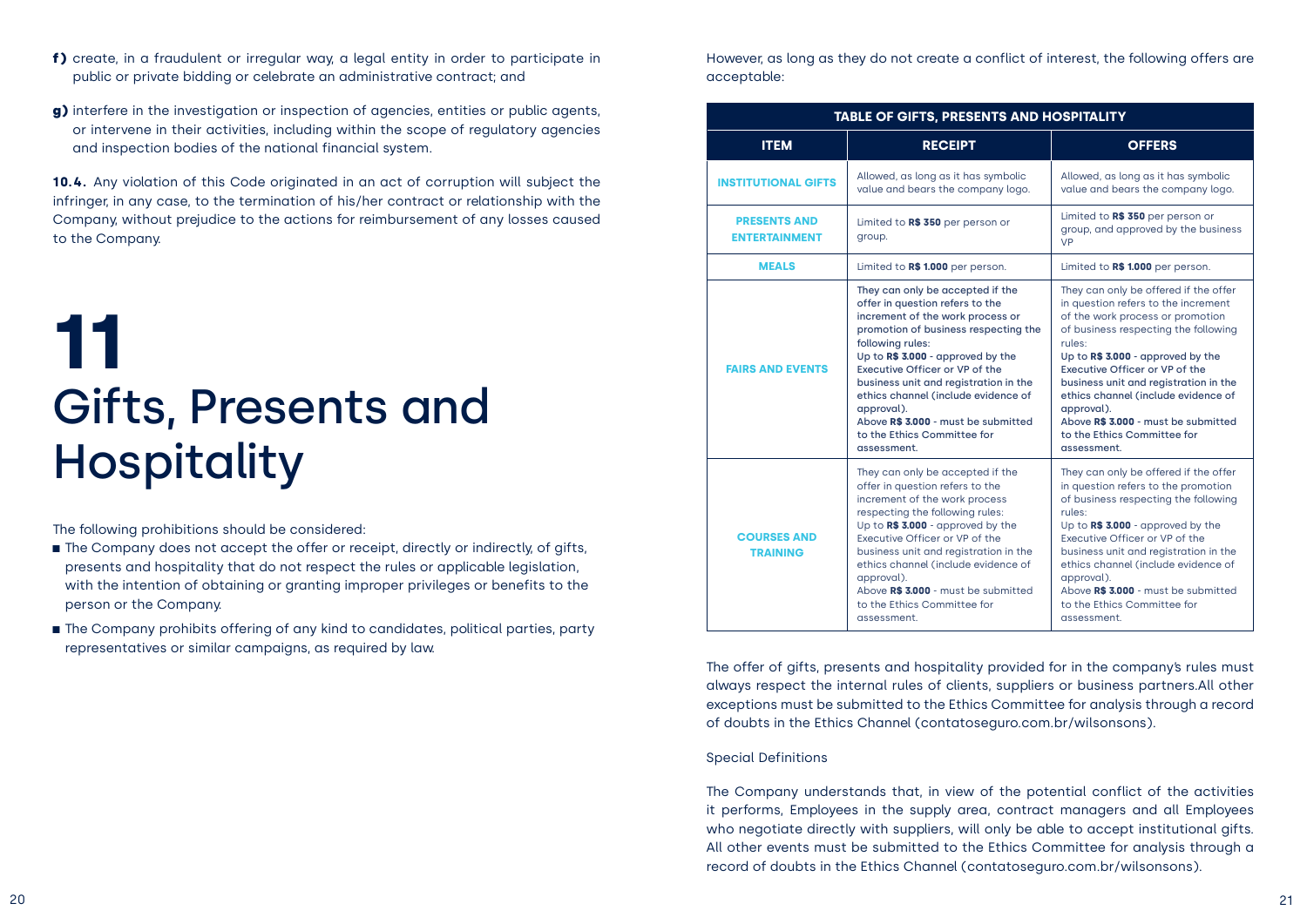### **11** Gifts, Presents and Hospitality

- <span id="page-10-0"></span>f) create, in a fraudulent or irregular way, a legal entity in order to participate in public or private bidding or celebrate an administrative contract; and
- g) interfere in the investigation or inspection of agencies, entities or public agents, or intervene in their activities, including within the scope of regulatory agencies and inspection bodies of the national financial system.

**10.4.** Any violation of this Code originated in an act of corruption will subject the infringer, in any case, to the termination of his/her contract or relationship with the Company, without prejudice to the actions for reimbursement of any losses caused to the Company.

- The Company does not accept the offer or receipt, directly or indirectly, of gifts, presents and hospitality that do not respect the rules or applicable legislation, with the intention of obtaining or granting improper privileges or benefits to the person or the Company.
- The Company prohibits offering of any kind to candidates, political parties, party representatives or similar campaigns, as required by law.

The following prohibitions should be considered:

However, as long as they do not create a conflict of interest, the following offers are acceptable:

| <b>TABLE OF GIFTS, PRESENTS AND HOSPITALITY</b> |                                                                                                                                                                                                                                                                                                                                                                                                                               |                                                                                                                                                                                                                                                                                                                                                                                                                              |
|-------------------------------------------------|-------------------------------------------------------------------------------------------------------------------------------------------------------------------------------------------------------------------------------------------------------------------------------------------------------------------------------------------------------------------------------------------------------------------------------|------------------------------------------------------------------------------------------------------------------------------------------------------------------------------------------------------------------------------------------------------------------------------------------------------------------------------------------------------------------------------------------------------------------------------|
| <b>ITEM</b>                                     | <b>RECEIPT</b>                                                                                                                                                                                                                                                                                                                                                                                                                | <b>OFFERS</b>                                                                                                                                                                                                                                                                                                                                                                                                                |
| <b>INSTITUTIONAL GIFTS</b>                      | Allowed, as long as it has symbolic<br>value and bears the company logo.                                                                                                                                                                                                                                                                                                                                                      | Allowed, as long as it has symbolic<br>value and bears the company logo.                                                                                                                                                                                                                                                                                                                                                     |
| <b>PRESENTS AND</b><br><b>ENTERTAINMENT</b>     | Limited to R\$ 350 per person or<br>group.                                                                                                                                                                                                                                                                                                                                                                                    | Limited to R\$ 350 per person or<br>group, and approved by the business<br><b>VP</b>                                                                                                                                                                                                                                                                                                                                         |
| <b>MEALS</b>                                    | Limited to R\$ 1.000 per person.                                                                                                                                                                                                                                                                                                                                                                                              | Limited to R\$ 1.000 per person.                                                                                                                                                                                                                                                                                                                                                                                             |
| <b>FAIRS AND EVENTS</b>                         | They can only be accepted if the<br>offer in question refers to the<br>increment of the work process or<br>promotion of business respecting the<br>following rules:<br>Up to R\$ 3.000 - approved by the<br>Executive Officer or VP of the<br>business unit and registration in the<br>ethics channel (include evidence of<br>approval).<br>Above R\$ 3.000 - must be submitted<br>to the Ethics Committee for<br>assessment. | They can only be offered if the offer<br>in question refers to the increment<br>of the work process or promotion<br>of business respecting the following<br>rules:<br>Up to R\$ 3.000 - approved by the<br>Executive Officer or VP of the<br>business unit and registration in the<br>ethics channel (include evidence of<br>approval).<br>Above R\$ 3.000 - must be submitted<br>to the Ethics Committee for<br>assessment. |
| <b>COURSES AND</b><br><b>TRAINING</b>           | They can only be accepted if the<br>offer in question refers to the<br>increment of the work process<br>respecting the following rules:<br>Up to R\$ 3.000 - approved by the<br>Executive Officer or VP of the<br>business unit and registration in the<br>ethics channel (include evidence of<br>approval).<br>Above R\$ 3.000 - must be submitted<br>to the Ethics Committee for<br>assessment.                             | They can only be offered if the offer<br>in question refers to the promotion<br>of business respecting the following<br>rules:<br>Up to R\$ 3.000 - approved by the<br>Executive Officer or VP of the<br>business unit and registration in the<br>ethics channel (include evidence of<br>approval).<br>Above R\$ 3.000 - must be submitted<br>to the Ethics Committee for<br>assessment.                                     |

The offer of gifts, presents and hospitality provided for in the company's rules must always respect the internal rules of clients, suppliers or business partners.All other exceptions must be submitted to the Ethics Committee for analysis through a record of doubts in the Ethics Channel (contatoseguro.com.br/wilsonsons).

Special Definitions

The Company understands that, in view of the potential conflict of the activities it performs, Employees in the supply area, contract managers and all Employees who negotiate directly with suppliers, will only be able to accept institutional gifts. All other events must be submitted to the Ethics Committee for analysis through a record of doubts in the Ethics Channel (contatoseguro.com.br/wilsonsons).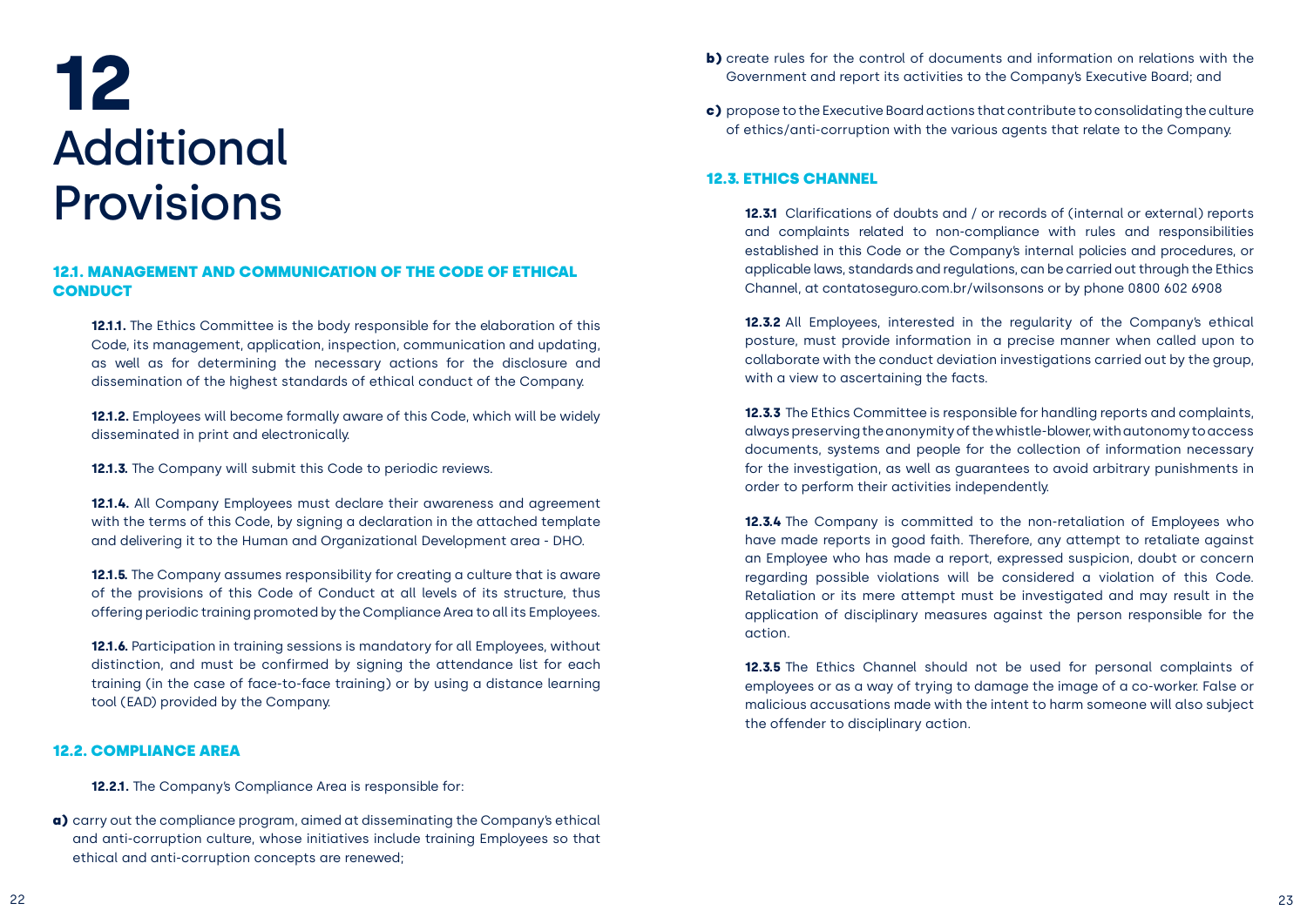#### 12.1. MANAGEMENT AND COMMUNICATION OF THE CODE OF ETHICAL **CONDUCT**

### <span id="page-11-0"></span>**12**  Additional Provisions

**12.1.1.** The Ethics Committee is the body responsible for the elaboration of this Code, its management, application, inspection, communication and updating, as well as for determining the necessary actions for the disclosure and dissemination of the highest standards of ethical conduct of the Company.

**12.1.2.** Employees will become formally aware of this Code, which will be widely disseminated in print and electronically.

**12.1.3.** The Company will submit this Code to periodic reviews.

**12.1.4.** All Company Employees must declare their awareness and agreement with the terms of this Code, by signing a declaration in the attached template and delivering it to the Human and Organizational Development area - DHO.

**12.1.5.** The Company assumes responsibility for creating a culture that is aware of the provisions of this Code of Conduct at all levels of its structure, thus offering periodic training promoted by the Compliance Area to all its Employees.

- b) create rules for the control of documents and information on relations with the Government and report its activities to the Company's Executive Board; and
- c) propose to the Executive Board actions that contribute to consolidating the culture of ethics/anti-corruption with the various agents that relate to the Company.

**12.3.1** Clarifications of doubts and / or records of (internal or external) reports and complaints related to non-compliance with rules and responsibilities established in this Code or the Company's internal policies and procedures, or applicable laws, standards and regulations, can be carried out through the Ethics Channel, at contatoseguro.com.br/wilsonsons or by phone 0800 602 6908

**12.1.6.** Participation in training sessions is mandatory for all Employees, without distinction, and must be confirmed by signing the attendance list for each training (in the case of face-to-face training) or by using a distance learning tool (EAD) provided by the Company.

#### 12.2. COMPLIANCE AREA

**12.2.1.** The Company's Compliance Area is responsible for:

a) carry out the compliance program, aimed at disseminating the Company's ethical and anti-corruption culture, whose initiatives include training Employees so that ethical and anti-corruption concepts are renewed;

#### 12.3. ETHICS CHANNEL

**12.3.2** All Employees, interested in the regularity of the Company's ethical posture, must provide information in a precise manner when called upon to collaborate with the conduct deviation investigations carried out by the group, with a view to ascertaining the facts.

**12.3.3** The Ethics Committee is responsible for handling reports and complaints, always preserving the anonymity of the whistle-blower, with autonomy to access documents, systems and people for the collection of information necessary for the investigation, as well as guarantees to avoid arbitrary punishments in order to perform their activities independently.

**12.3.4** The Company is committed to the non-retaliation of Employees who have made reports in good faith. Therefore, any attempt to retaliate against an Employee who has made a report, expressed suspicion, doubt or concern regarding possible violations will be considered a violation of this Code. Retaliation or its mere attempt must be investigated and may result in the application of disciplinary measures against the person responsible for the action.

**12.3.5** The Ethics Channel should not be used for personal complaints of employees or as a way of trying to damage the image of a co-worker. False or malicious accusations made with the intent to harm someone will also subject the offender to disciplinary action.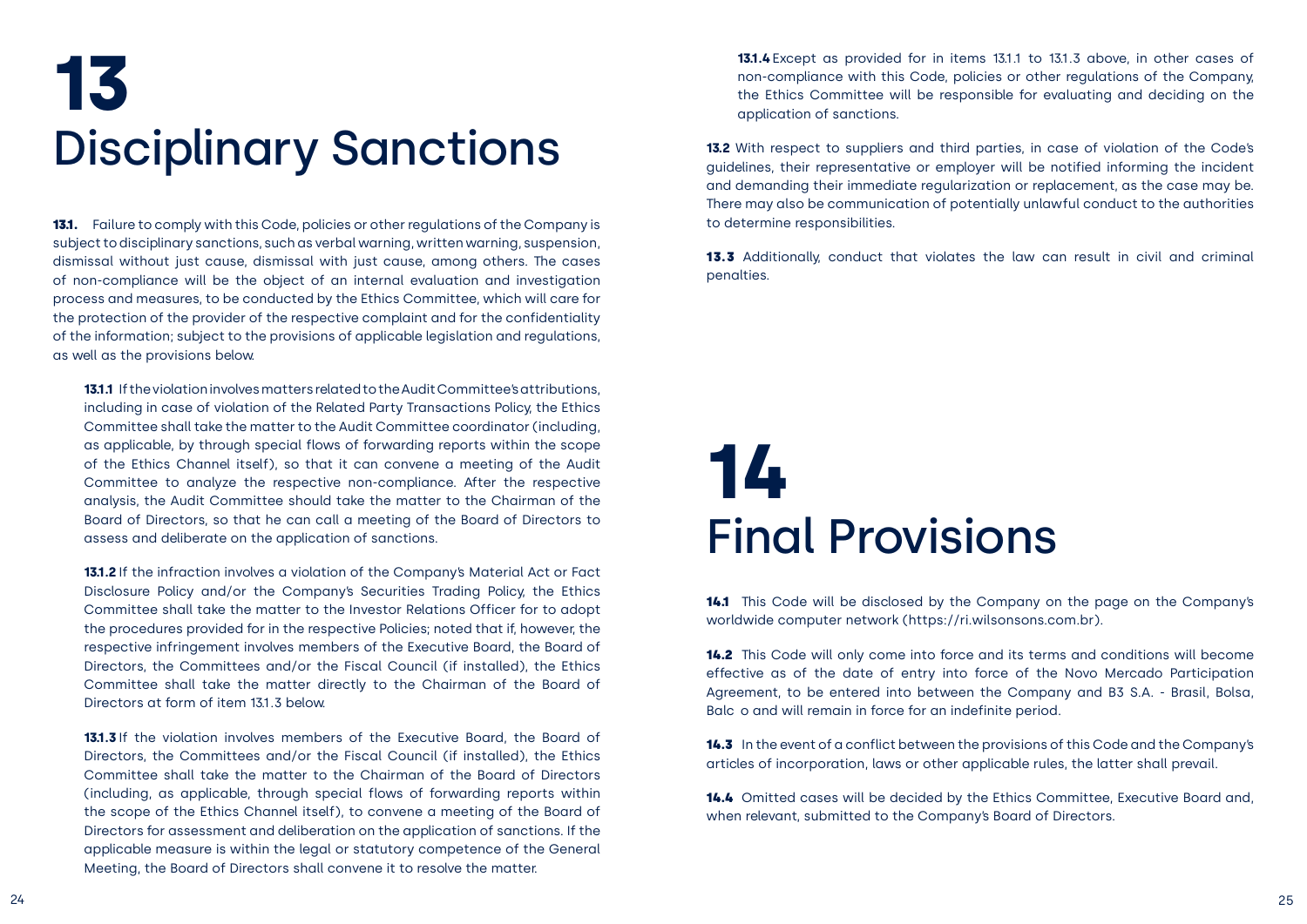## <span id="page-12-0"></span>**13**  Disciplinary Sanctions

**13.1.** Failure to comply with this Code, policies or other regulations of the Company is subject to disciplinary sanctions, such as verbal warning, written warning, suspension, dismissal without just cause, dismissal with just cause, among others. The cases of non-compliance will be the object of an internal evaluation and investigation process and measures, to be conducted by the Ethics Committee, which will care for the protection of the provider of the respective complaint and for the confidentiality of the information; subject to the provisions of applicable legislation and regulations, as well as the provisions below.

**13.1.1** If the violation involves matters related to the Audit Committee's attributions, including in case of violation of the Related Party Transactions Policy, the Ethics Committee shall take the matter to the Audit Committee coordinator (including, as applicable, by through special flows of forwarding reports within the scope of the Ethics Channel itself), so that it can convene a meeting of the Audit Committee to analyze the respective non-compliance. After the respective analysis, the Audit Committee should take the matter to the Chairman of the Board of Directors, so that he can call a meeting of the Board of Directors to assess and deliberate on the application of sanctions.

**13.1.2** If the infraction involves a violation of the Company's Material Act or Fact Disclosure Policy and/or the Company's Securities Trading Policy, the Ethics Committee shall take the matter to the Investor Relations Officer for to adopt the procedures provided for in the respective Policies; noted that if, however, the respective infringement involves members of the Executive Board, the Board of Directors, the Committees and/or the Fiscal Council (if installed), the Ethics Committee shall take the matter directly to the Chairman of the Board of Directors at form of item 13.1.3 below.

**13.1.3** If the violation involves members of the Executive Board, the Board of Directors, the Committees and/or the Fiscal Council (if installed), the Ethics Committee shall take the matter to the Chairman of the Board of Directors (including, as applicable, through special flows of forwarding reports within the scope of the Ethics Channel itself), to convene a meeting of the Board of Directors for assessment and deliberation on the application of sanctions. If the applicable measure is within the legal or statutory competence of the General Meeting, the Board of Directors shall convene it to resolve the matter.

**13.2** With respect to suppliers and third parties, in case of violation of the Code's guidelines, their representative or employer will be notified informing the incident and demanding their immediate regularization or replacement, as the case may be. There may also be communication of potentially unlawful conduct to the authorities to determine responsibilities.

**13.3** Additionally, conduct that violates the law can result in civil and criminal penalties.

14.1 This Code will be disclosed by the Company on the page on the Company's worldwide computer network (https://ri.wilsonsons.com.br).

**14.2** This Code will only come into force and its terms and conditions will become effective as of the date of entry into force of the Novo Mercado Participation Agreement, to be entered into between the Company and B3 S.A. - Brasil, Bolsa, Balc o and will remain in force for an indefinite period.

14.3 In the event of a conflict between the provisions of this Code and the Company's articles of incorporation, laws or other applicable rules, the latter shall prevail.

14.4 Omitted cases will be decided by the Ethics Committee, Executive Board and, when relevant, submitted to the Company's Board of Directors.

- 
- 

**13.1.4**Except as provided for in items 13.1.1 to 13.1.3 above, in other cases of non-compliance with this Code, policies or other regulations of the Company, the Ethics Committee will be responsible for evaluating and deciding on the application of sanctions.

### **14**  Final Provisions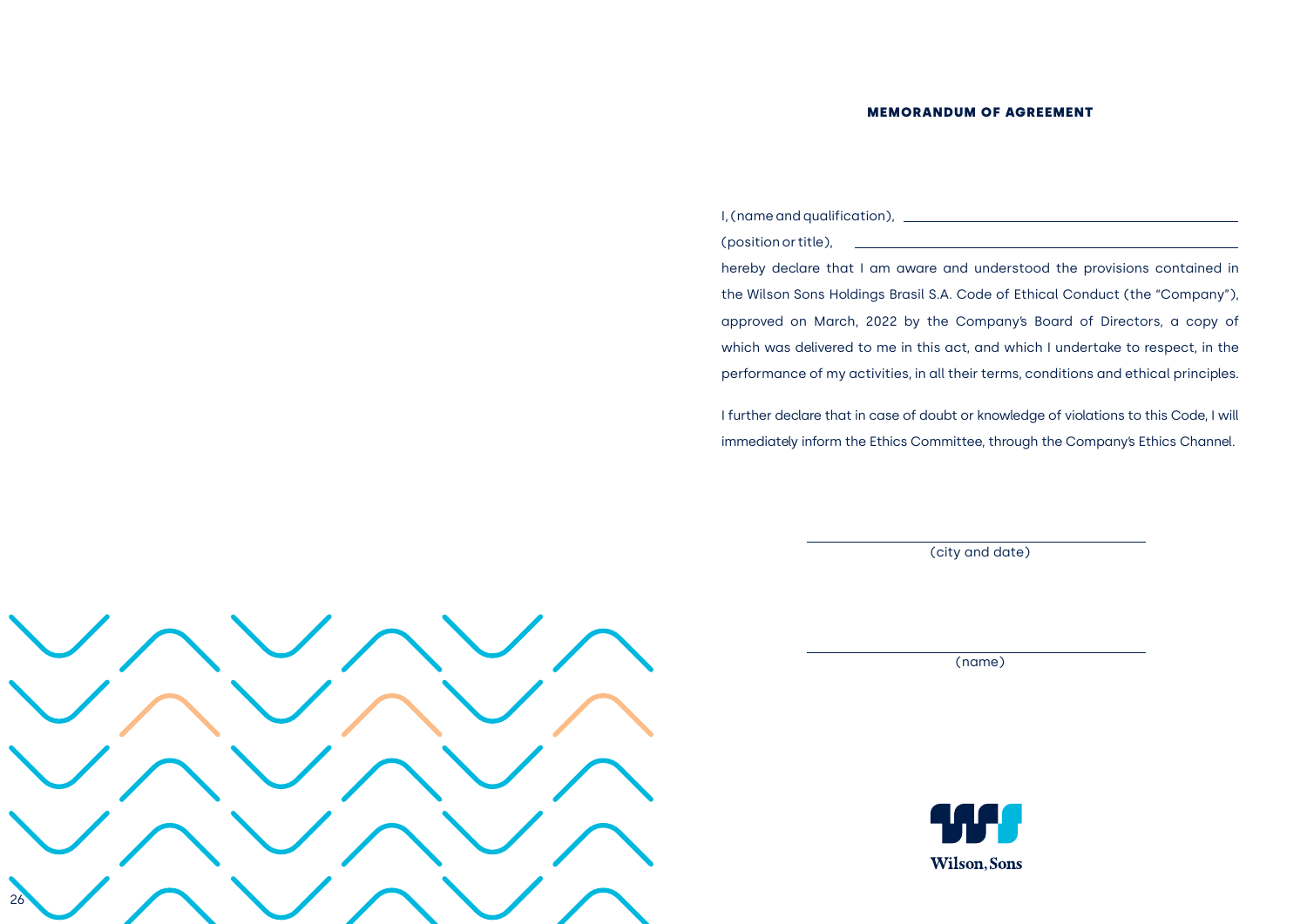

I, (name and qualification), (position or title),

I further declare that in case of doubt or knowledge of violations to this Code, I will immediately inform the Ethics Committee, through the Company's Ethics Channel.

hereby declare that I am aware and understood the provisions contained in the Wilson Sons Holdings Brasil S.A. Code of Ethical Conduct (the "Company"), approved on March, 2022 by the Company's Board of Directors, a copy of which was delivered to me in this act, and which I undertake to respect, in the performance of my activities, in all their terms, conditions and ethical principles.

(city and date)

(name)



#### MEMORANDUM OF AGREEMENT